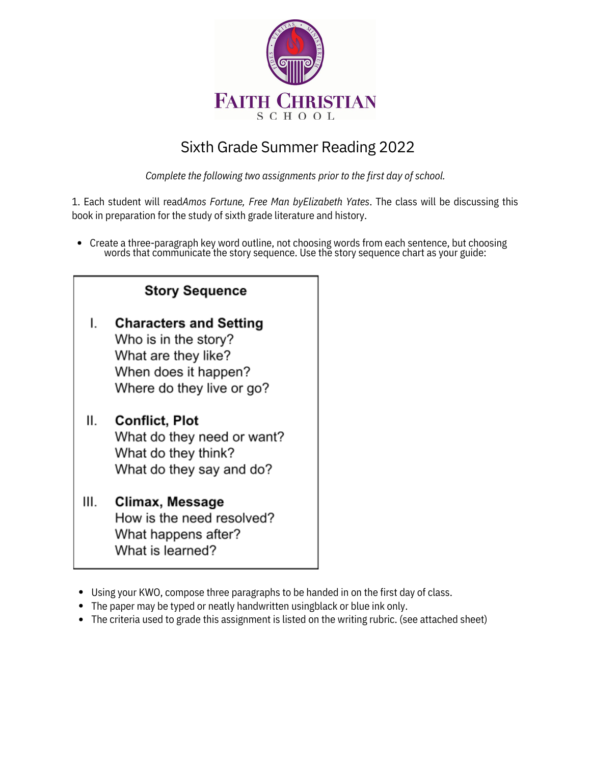

## Sixth Grade Summer Reading 2022

*Complete the following two assignments prior to the first day of school.*

1. Each student will read*Amos Fortune, Free Man byElizabeth Yates*. The class will be discussing this book in preparation for the study of sixth grade literature and history.

Create a three-paragraph key word outline, not choosing words from each sentence, but choosing words that communicate the story sequence. Use the story sequence chart as your guide:

| <b>Story Sequence</b> |
|-----------------------|
|-----------------------|

**Characters and Setting** L. Who is in the story? What are they like? When does it happen? Where do they live or go?

## $II.$ **Conflict, Plot**

What do they need or want? What do they think? What do they say and do?

- Climax, Message III. How is the need resolved? What happens after? What is learned?
- Using your KWO, compose three paragraphs to be handed in on the first day of class.
- The paper may be typed or neatly handwritten usingblack or blue ink only.
- The criteria used to grade this assignment is listed on the writing rubric. (see attached sheet)